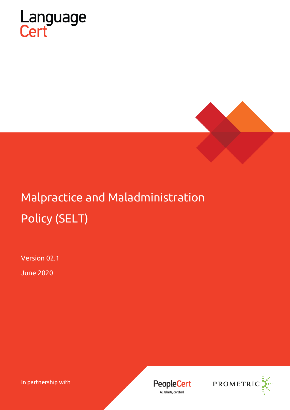



# Malpractice and Maladministration Policy (SELT)

Version 02.1

June 2020

In partnership with



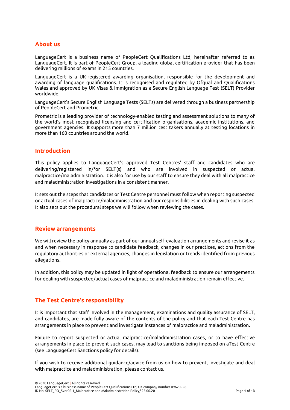#### **About us**

LanguageCert is a business name of PeopleCert Qualifications Ltd, hereinafter referred to as LanguageCert. It is part of PeopleCert Group, a leading global certification provider that has been delivering millions of exams in 215 countries.

LanguageCert is a UK-registered awarding organisation, responsible for the development and awarding of language qualifications. It is recognised and regulated by Ofqual and Qualifications Wales and approved by UK Visas & Immigration as a Secure English Language Test (SELT) Provider worldwide.

LanguageCert's Secure English Language Tests (SELTs) are delivered through a business partnership of PeopleCert and Prometric.

Prometric is a leading provider of technology-enabled testing and assessment solutions to many of the world's most recognised licensing and certification organisations, academic institutions, and government agencies. It supports more than 7 million test takers annually at testing locations in more than 160 countries around the world.

#### **Introduction**

This policy applies to LanguageCert's approved Test Centres' staff and candidates who are delivering/registered in/for SELT(s) and who are involved in suspected or actual malpractice/maladministration. It is also for use by our staff to ensure they deal with all malpractice and maladministration investigations in a consistent manner.

It sets out the steps that candidates or Test Centre personnel must follow when reporting suspected or actual cases of malpractice/maladministration and our responsibilities in dealing with such cases. It also sets out the procedural steps we will follow when reviewing the cases.

#### **Review arrangements**

We will review the policy annually as part of our annual self-evaluation arrangements and revise it as and when necessary in response to candidate feedback, changes in our practices, actions from the regulatory authorities or external agencies, changes in legislation or trends identified from previous allegations.

In addition, this policy may be updated in light of operational feedback to ensure our arrangements for dealing with suspected/actual cases of malpractice and maladministration remain effective.

## **The Test Centre's responsibility**

It is important that staff involved in the management, examinations and quality assurance of SELT, and candidates, are made fully aware of the contents of the policy and that each Test Centre has arrangements in place to prevent and investigate instances of malpractice and maladministration.

Failure to report suspected or actual malpractice/maladministration cases, or to have effective arrangements in place to prevent such cases, may lead to sanctions being imposed on aTest Centre (see LanguageCert Sanctions policy for details).

If you wish to receive additional guidance/advice from us on how to prevent, investigate and deal with malpractice and maladministration, please contact us.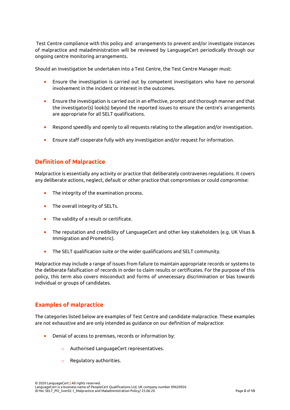Test Centre compliance with this policy and arrangements to prevent and/or investigate instances of malpractice and maladministration will be reviewed by LanguageCert periodically through our ongoing centre monitoring arrangements.

Should an investigation be undertaken into a Test Centre, the Test Centre Manager must:

- Ensure the investigation is carried out by competent investigators who have no personal involvement in the incident or interest in the outcomes.
- Ensure the investigation is carried out in an effective, prompt and thorough manner and that the investigator(s) look(s) beyond the reported issues to ensure the centre's arrangements are appropriate for all SELT qualifications.
- Respond speedily and openly to all requests relating to the allegation and/or investigation.
- Ensure staff cooperate fully with any investigation and/or request for information.

# **Definition of Malpractice**

Malpractice is essentially any activity or practice that deliberately contravenes regulations. It covers any deliberate actions, neglect, default or other practice that compromises or could compromise:

- The integrity of the examination process.
- The overall integrity of SELTs.
- The validity of a result or certificate.
- The reputation and credibility of LanguageCert and other key stakeholders (e.g. UK Visas & Immigration and Prometric).
- The SELT qualification suite or the wider qualifications and SELT community.

Malpractice may include a range of issues from failure to maintain appropriate records or systems to the deliberate falsification of records in order to claim results or certificates. For the purpose of this policy, this term also covers misconduct and forms of unnecessary discrimination or bias towards individual or groups of candidates.

## **Examples of malpractice**

The categories listed below are examples of Test Centre and candidate malpractice. These examples are not exhaustive and are only intended as guidance on our definition of malpractice:

- Denial of access to premises, records or information by:
	- o Authorised LanguageCert representatives.
	- o Regulatory authorities.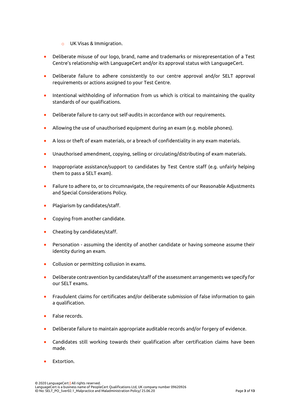- o UK Visas & Immigration.
- Deliberate misuse of our logo, brand, name and trademarks or misrepresentation of a Test Centre's relationship with LanguageCert and/or its approval status with LanguageCert.
- Deliberate failure to adhere consistently to our centre approval and/or SELT approval requirements or actions assigned to your Test Centre.
- Intentional withholding of information from us which is critical to maintaining the quality standards of our qualifications.
- Deliberate failure to carry out self-audits in accordance with our requirements.
- Allowing the use of unauthorised equipment during an exam (e.g. mobile phones).
- A loss or theft of exam materials, or a breach of confidentiality in any exam materials.
- Unauthorised amendment, copying, selling or circulating/distributing of exam materials.
- Inappropriate assistance/support to candidates by Test Centre staff (e.g. unfairly helping them to pass a SELT exam).
- Failure to adhere to, or to circumnavigate, the requirements of our Reasonable Adjustments and Special Considerations Policy.
- Plagiarism by candidates/staff.
- Copying from another candidate.
- Cheating by candidates/staff.
- Personation assuming the identity of another candidate or having someone assume their identity during an exam.
- Collusion or permitting collusion in exams.
- Deliberate contravention by candidates/staff of the assessment arrangements we specify for our SELT exams.
- Fraudulent claims for certificates and/or deliberate submission of false information to gain a qualification.
- False records.
- Deliberate failure to maintain appropriate auditable records and/or forgery of evidence.
- Candidates still working towards their qualification after certification claims have been made.
- Extortion.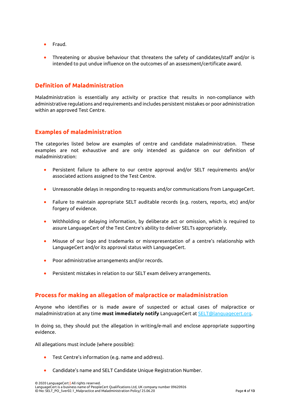- Fraud.
- Threatening or abusive behaviour that threatens the safety of candidates/staff and/or is intended to put undue influence on the outcomes of an assessment/certificate award.

## **Definition of Maladministration**

Maladministration is essentially any activity or practice that results in non-compliance with administrative regulations and requirements and includes persistent mistakes or poor administration within an approved Test Centre.

## **Examples of maladministration**

The categories listed below are examples of centre and candidate maladministration. These examples are not exhaustive and are only intended as guidance on our definition of maladministration:

- Persistent failure to adhere to our centre approval and/or SELT requirements and/or associated actions assigned to the Test Centre.
- Unreasonable delays in responding to requests and/or communications from LanguageCert.
- Failure to maintain appropriate SELT auditable records (e.g. rosters, reports, etc) and/or forgery of evidence.
- Withholding or delaying information, by deliberate act or omission, which is required to assure LanguageCert of the Test Centre's ability to deliver SELTs appropriately.
- Misuse of our logo and trademarks or misrepresentation of a centre's relationship with LanguageCert and/or its approval status with LanguageCert.
- Poor administrative arrangements and/or records.
- Persistent mistakes in relation to our SELT exam delivery arrangements.

## **Process for making an allegation of malpractice or maladministration**

Anyone who identifies or is made aware of suspected or actual cases of malpractice or maladministration at any time **must immediately notify** LanguageCert at [SELT@languagecert.org.](mailto:selt@languagecert.org)

In doing so, they should put the allegation in writing/e-mail and enclose appropriate supporting evidence.

All allegations must include (where possible):

- Test Centre's information (e.g. name and address).
- Candidate's name and SELT Candidate Unique Registration Number.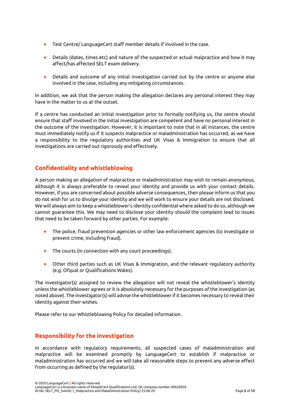- Test Centre/ LanguageCert staff member details if involved in the case.
- Details (dates, times etc) and nature of the suspected or actual malpractice and how it may affect/has affected SELT exam delivery.
- Details and outcome of any initial investigation carried out by the centre or anyone else involved in the case, including any mitigating circumstances.

In addition, we ask that the person making the allegation declares any personal interest they may have in the matter to us at the outset.

If a centre has conducted an initial investigation prior to formally notifying us, the centre should ensure that staff involved in the initial investigation are competent and have no personal interest in the outcome of the investigation. However, it is important to note that in all instances, the centre must immediately notify us if it suspects malpractice or maladministration has occurred, as we have a responsibility to the regulatory authorities and UK Visas & Immigration to ensure that all investigations are carried out rigorously and effectively.

## **Confidentiality and whistleblowing**

A person making an allegation of malpractice or maladministration may wish to remain anonymous, although it is always preferable to reveal your identity and provide us with your contact details. However, if you are concerned about possible adverse consequences, then please inform us that you do not wish for us to divulge your identity and we will work to ensure your details are not disclosed. We will always aim to keep a whistleblower's identity confidential where asked to do so, although we cannot guarantee this. We may need to disclose your identity should the complaint lead to issues that need to be taken forward by other parties. For example:

- The police, fraud prevention agencies or other law enforcement agencies (to investigate or prevent crime, including fraud).
- The courts (in connection with any court proceedings).
- Other third parties such as UK Visas & Immigration, and the relevant regulatory authority (e.g. Ofqual or Qualifications Wales).

The investigator(s) assigned to review the allegation will not reveal the whistleblower's identity unless the whistleblower agrees or it is absolutely necessary for the purposes of the investigation (as noted above). The investigator(s) will advise the whistleblower if it becomes necessary to reveal their identity against their wishes.

Please refer to our Whistleblowing Policy for detailed information.

## **Responsibility for the investigation**

In accordance with regulatory requirements, all suspected cases of maladministration and malpractice will be examined promptly by LanguageCert to establish if malpractice or maladministration has occurred and we will take all reasonable steps to prevent any adverse effect from occurring as defined by the regulator(s).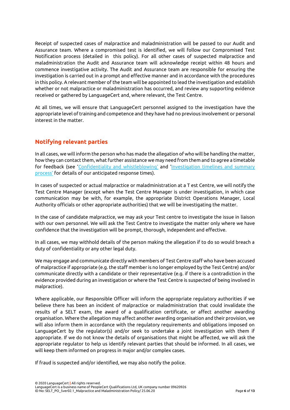Receipt of suspected cases of malpractice and maladministration will be passed to our Audit and Assurance team. Where a compromised test is identified, we will follow our Compromised Test Notification process (detailed in this policy). For all other cases of suspected malpractice and maladministration the Audit and Assurance team will acknowledge receipt within 48 hours and commence investigative activity. The Audit and Assurance team are responsible for ensuring the investigation is carried out in a prompt and effective manner and in accordance with the procedures in this policy. A relevant member of the team will be appointed to lead the investigation and establish whether or not malpractice or maladministration has occurred, and review any supporting evidence received or gathered by LanguageCert and, where relevant, the Test Centre.

At all times, we will ensure that LanguageCert personnel assigned to the investigation have the appropriate level of training and competence and they have had no previous involvement or personal interest in the matter.

## **Notifying relevant parties**

In all cases, we will inform the person who has made the allegation of who will be handling the matter, how they can contact them, what further assistance we may need from them and to agree a timetable for feedback (see 'Confidentiality and whistleblowing' and 'Investigation timelines and summary process' for details of our anticipated response times).

In cases of suspected or actual malpractice or maladministration at a T est Centre, we will notify the Test Centre Manager (except when the Test Centre Manager is under investigation, in which case communication may be with, for example, the appropriate District Operations Manager, Local Authority officials or other appropriate authorities) that we will be investigating the matter.

In the case of candidate malpractice, we may ask your Test centre to investigate the issue in liaison with our own personnel. We will ask the Test Centre to investigate the matter only where we have confidence that the investigation will be prompt, thorough, independent and effective.

In all cases, we may withhold details of the person making the allegation if to do so would breach a duty of confidentiality or any other legal duty.

We may engage and communicate directly with members of Test Centre staff who have been accused of malpractice if appropriate (e.g. the staff member is no longer employed by the Test Centre) and/or communicate directly with a candidate or their representative (e.g. if there is a contradiction in the evidence provided during an investigation or where the Test Centre is suspected of being involved in malpractice).

Where applicable, our Responsible Officer will inform the appropriate regulatory authorities if we believe there has been an incident of malpractice or maladministration that could invalidate the results of a SELT exam, the award of a qualification certificate, or affect another awarding organisation. Where the allegation may affect another awarding organisation and their provision, we will also inform them in accordance with the regulatory requirements and obligations imposed on LanguageCert by the regulator(s) and/or seek to undertake a joint investigation with them if appropriate. If we do not know the details of organisations that might be affected, we will ask the appropriate regulator to help us identify relevant parties that should be informed. In all cases, we will keep them informed on progress in major and/or complex cases.

If fraud is suspected and/or identified, we may also notify the police.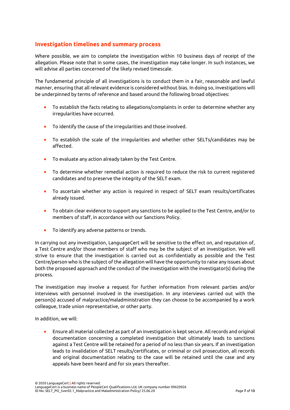## **Investigation timelines and summary process**

Where possible, we aim to complete the investigation within 10 business days of receipt of the allegation. Please note that in some cases, the investigation may take longer. In such instances, we will advise all parties concerned of the likely revised timescale.

The fundamental principle of all investigations is to conduct them in a fair, reasonable and lawful manner, ensuring that all relevant evidence is considered without bias. In doing so, investigations will be underpinned by terms of reference and based around the following broad objectives:

- To establish the facts relating to allegations/complaints in order to determine whether any irregularities have occurred.
- To identify the cause of the irregularities and those involved.
- To establish the scale of the irregularities and whether other SELTs/candidates may be affected.
- To evaluate any action already taken by the Test Centre.
- To determine whether remedial action is required to reduce the risk to current registered candidates and to preserve the integrity of the SELT exam.
- To ascertain whether any action is required in respect of SELT exam results/certificates already issued.
- To obtain clear evidence to support any sanctions to be applied to the Test Centre, and/or to members of staff, in accordance with our Sanctions Policy.
- To identify any adverse patterns or trends.

In carrying out any investigation, LanguageCert will be sensitive to the effect on, and reputation of, a Test Centre and/or those members of staff who may be the subject of an investigation. We will strive to ensure that the investigation is carried out as confidentially as possible and the Test Centre/person who is the subject of the allegation will have the opportunity to raise any issues about both the proposed approach and the conduct of the investigation with the investigator(s) during the process.

The investigation may involve a request for further information from relevant parties and/or interviews with personnel involved in the investigation. In any interviews carried out with the person(s) accused of malpractice/maladministration they can choose to be accompanied by a work colleague, trade union representative, or other party.

In addition, we will:

• Ensure all material collected as part of an investigation is kept secure. All records and original documentation concerning a completed investigation that ultimately leads to sanctions against a Test Centre will be retained for a period of no less than six years. If an investigation leads to invalidation of SELT results/certificates, or criminal or civil prosecution, all records and original documentation relating to the case will be retained until the case and any appeals have been heard and for six years thereafter.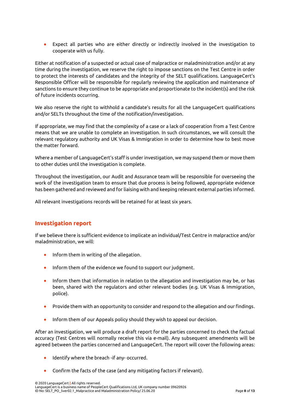• Expect all parties who are either directly or indirectly involved in the investigation to cooperate with us fully.

Either at notification of a suspected or actual case of malpractice or maladministration and/or at any time during the investigation, we reserve the right to impose sanctions on the Test Centre in order to protect the interests of candidates and the integrity of the SELT qualifications. LanguageCert's Responsible Officer will be responsible for regularly reviewing the application and maintenance of sanctions to ensure they continue to be appropriate and proportionate to the incident(s) and the risk of future incidents occurring.

We also reserve the right to withhold a candidate's results for all the LanguageCert qualifications and/or SELTs throughout the time of the notification/investigation.

If appropriate, we may find that the complexity of a case or a lack of cooperation from a Test Centre means that we are unable to complete an investigation. In such circumstances, we will consult the relevant regulatory authority and UK Visas & Immigration in order to determine how to best move the matter forward.

Where a member of LanguageCert's staff is under investigation, we may suspend them or move them to other duties until the investigation is complete.

Throughout the investigation, our Audit and Assurance team will be responsible for overseeing the work of the investigation team to ensure that due process is being followed, appropriate evidence has been gathered and reviewed and for liaising with and keeping relevant external parties informed.

All relevant investigations records will be retained for at least six years.

## **Investigation report**

If we believe there is sufficient evidence to implicate an individual/Test Centre in malpractice and/or maladministration, we will:

- Inform them in writing of the allegation.
- Inform them of the evidence we found to support our judgment.
- Inform them that information in relation to the allegation and investigation may be, or has been, shared with the regulators and other relevant bodies (e.g. UK Visas & Immigration, police).
- Provide them with an opportunity to consider and respond to the allegation and our findings.
- Inform them of our Appeals policy should they wish to appeal our decision.

After an investigation, we will produce a draft report for the parties concerned to check the factual accuracy (Test Centres will normally receive this via e-mail). Any subsequent amendments will be agreed between the parties concerned and LanguageCert. The report will cover the following areas:

- Identify where the breach -if any- occurred.
- Confirm the facts of the case (and any mitigating factors if relevant).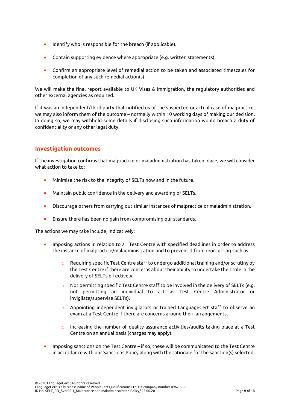- Identify who is responsible for the breach (if applicable).
- Contain supporting evidence where appropriate (e.g. written statements).
- Confirm an appropriate level of remedial action to be taken and associated timescales for completion of any such remedial action(s).

We will make the final report available to UK Visas & Immigration, the regulatory authorities and other external agencies as required.

If it was an independent/third party that notified us of the suspected or actual case of malpractice, we may also inform them of the outcome – normally within 10 working days of making our decision. In doing so, we may withhold some details if disclosing such information would breach a duty of confidentiality or any other legal duty.

#### **Investigation outcomes**

If the investigation confirms that malpractice or maladministration has taken place, we will consider what action to take to:

- Minimise the risk to the integrity of SELTs now and in the future.
- Maintain public confidence in the delivery and awarding of SELTs.
- Discourage others from carrying out similar instances of malpractice or maladministration.
- Ensure there has been no gain from compromising our standards.

The actions we may take include, indicatively:

- Imposing actions in relation to a Test Centre with specified deadlines in order to address the instance of malpractice/maladministration and to prevent it from reoccurring such as:
	- $\circ$  Requiring specific Test Centre staff to undergo additional training and/or scrutiny by the Test Centre if there are concerns about their ability to undertake their role in the delivery of SELTs effectively.
	- $\circ$  Not permitting specific Test Centre staff to be involved in the delivery of SELTs (e.g. not permitting an individual to act as Test Centre Administrator or invigilate/supervise SELTs).
	- o Appointing independent invigilators or trained LanguageCert staff to observe an exam at a Test Centre if there are concerns around their arrangements.
	- $\circ$  Increasing the number of quality assurance activities/audits taking place at a Test Centre on an annual basis (charges may apply).
- Imposing sanctions on the Test Centre if so, these will be communicated to the Test Centre in accordance with our Sanctions Policy along with the rationale for the sanction(s) selected.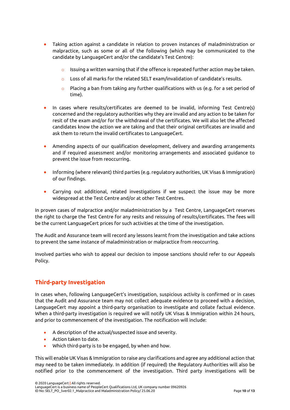- Taking action against a candidate in relation to proven instances of maladministration or malpractice, such as some or all of the following (which may be communicated to the candidate by LanguageCert and/or the candidate's Test Centre):
	- $\circ$  Issuing a written warning that if the offence is repeated further action may be taken.
	- Loss of all marks for the related SELT exam/invalidation of candidate's results.
	- o Placing a ban from taking any further qualifications with us (e.g. for a set period of time).
- In cases where results/certificates are deemed to be invalid, informing Test Centre(s) concerned and the regulatory authorities why they are invalid and any action to be taken for resit of the exam and/or for the withdrawal of the certificates. We will also let the affected candidates know the action we are taking and that their original certificates are invalid and ask them to return the invalid certificates to LanguageCert.
- Amending aspects of our qualification development, delivery and awarding arrangements and if required assessment and/or monitoring arrangements and associated guidance to prevent the issue from reoccurring.
- Informing (where relevant) third parties (e.g. regulatory authorities, UK Visas & Immigration) of our findings.
- Carrying out additional, related investigations if we suspect the issue may be more widespread at the Test Centre and/or at other Test Centres.

In proven cases of malpractice and/or maladministration by a Test Centre, LanguageCert reserves the right to charge the Test Centre for any resits and reissuing of results/certificates. The fees will be the current LanguageCert prices for such activities at the time of the investigation.

The Audit and Assurance team will record any lessons learnt from the investigation and take actions to prevent the same instance of maladministration or malpractice from reoccurring.

Involved parties who wish to appeal our decision to impose sanctions should refer to our Appeals Policy.

## **Third-party Investigation**

In cases when, following LanguageCert's investigation, suspicious activity is confirmed or in cases that the Audit and Assurance team may not collect adequate evidence to proceed with a decision, LanguageCert may appoint a third-party organisation to investigate and collate factual evidence. When a third-party investigation is required we will notify UK Visas & Immigration within 24 hours, and prior to commencement of the investigation. The notification will include:

- A description of the actual/suspected issue and severity.
- Action taken to date.
- Which third-party is to be engaged, by when and how.

This will enable UK Visas & Immigration to raise any clarifications and agree any additional action that may need to be taken immediately. In addition (if required) the Regulatory Authorities will also be notified prior to the commencement of the investigation. Third party investigations will be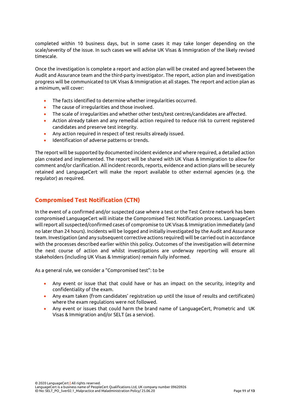completed within 10 business days, but in some cases it may take longer depending on the scale/severity of the issue. In such cases we will advise UK Visas & Immigration of the likely revised timescale.

Once the investigation is complete a report and action plan will be created and agreed between the Audit and Assurance team and the third-party investigator. The report, action plan and investigation progress will be communicated to UK Visas & Immigration at all stages. The report and action plan as a minimum, will cover:

- The facts identified to determine whether irregularities occurred.
- The cause of irregularities and those involved.
- The scale of irregularities and whether other tests/test centres/candidates are affected.
- Action already taken and any remedial action required to reduce risk to current registered candidates and preserve test integrity.
- Any action required in respect of test results already issued.
- Identification of adverse patterns or trends.

The report will be supported by documented incident evidence and where required, a detailed action plan created and implemented. The report will be shared with UK Visas & Immigration to allow for comment and/or clarification. All incident records, reports, evidence and action plans will be securely retained and LanguageCert will make the report available to other external agencies (e.g. the regulator) as required.

## **Compromised Test Notification (CTN)**

In the event of a confirmed and/or suspected case where a test or the Test Centre network has been compromised LanguageCert will initiate the Compromised Test Notification process. LanguageCert will report all suspected/confirmed cases of compromise to UK Visas & Immigration immediately (and no later than 24 hours). Incidents will be logged and initially investigated by the Audit and Assurance team. Investigation (and any subsequent corrective actions required) will be carried out in accordance with the processes described earlier within this policy. Outcomes of the investigation will determine the next course of action and whilst investigations are underway reporting will ensure all stakeholders (including UK Visas & Immigration) remain fully informed.

As a general rule, we consider a "Compromised test": to be

- Any event or issue that that could have or has an impact on the security, integrity and confidentiality of the exam.
- Any exam taken (from candidates' registration up until the issue of results and certificates) where the exam regulations were not followed.
- Any event or issues that could harm the brand name of LanguageCert, Prometric and UK Visas & Immigration and/or SELT (as a service).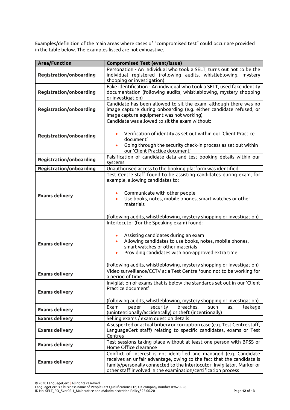Examples/definition of the main areas where cases of "compromised test" could occur are provided in the table below. The examples listed are not exhuastive.

| <b>Area/Function</b>           | <b>Compromised Test (event/issue)</b>                                                                                                                                                                                                                                                                                        |
|--------------------------------|------------------------------------------------------------------------------------------------------------------------------------------------------------------------------------------------------------------------------------------------------------------------------------------------------------------------------|
| <b>Registration/onboarding</b> | Personation - An individual who took a SELT, turns out not to be the<br>individual registered (following audits, whistleblowing, mystery<br>shopping or investigation)                                                                                                                                                       |
| <b>Registration/onboarding</b> | Fake identification - An individual who took a SELT, used fake identity<br>documentation (following audits, whistleblowing, mystery shopping<br>or investigation)                                                                                                                                                            |
| <b>Registration/onboarding</b> | Candidate has been allowed to sit the exam, although there was no<br>image capture during onboarding (e.g. either candidate refused, or<br>image capture equipment was not working)                                                                                                                                          |
| <b>Registration/onboarding</b> | Candidate was allowed to sit the exam without:<br>Verification of identity as set out within our 'Client Practice<br>document'<br>Going through the security check-in process as set out within<br>our 'Client Practice document'                                                                                            |
| <b>Registration/onboarding</b> | Falsification of candidate data and test booking details within our<br>systems                                                                                                                                                                                                                                               |
| <b>Registration/onboarding</b> | Unauthorised access to the booking platform was identified                                                                                                                                                                                                                                                                   |
| <b>Exams delivery</b>          | Test Centre staff found to be assisting candidates during exam, for<br>example, allowing candidates to:<br>Communicate with other people<br>Use books, notes, mobile phones, smart watches or other<br>$\bullet$<br>materials<br>(following audits, whistleblowing, mystery shopping or investigation)                       |
| <b>Exams delivery</b>          | Interlocutor (for the Speaking exam) found:<br>Assisting candidates during an exam<br>Allowing candidates to use books, notes, mobile phones,<br>smart watches or other materials<br>Providing candidates with non-approved extra time<br>$\bullet$<br>(following audits, whistleblowing, mystery shopping or investigation) |
| <b>Exams delivery</b>          | Video surveillance/CCTV at a Test Centre found not to be working for<br>a period of time                                                                                                                                                                                                                                     |
| <b>Exams delivery</b>          | Invigilation of exams that is below the standards set out in our 'Client<br>Practice document'<br>(following audits, whistleblowing, mystery shopping or investigation)                                                                                                                                                      |
| <b>Exams delivery</b>          | breaches,<br>such<br>security<br>leakage<br>Exam<br>paper<br>as,<br>(unintentionally/accidentally) or theft (intentionally)                                                                                                                                                                                                  |
| <b>Exams delivery</b>          | Selling exams / exam question details                                                                                                                                                                                                                                                                                        |
| <b>Exams delivery</b>          | A suspected or actual bribery or corruption case (e.g. Test Centre staff,<br>LanguageCert staff) relating to specific candidates, exams or Test<br>Centres                                                                                                                                                                   |
| <b>Exams delivery</b>          | Test sessions taking place without at least one person with BPSS or<br>Home Office clearance                                                                                                                                                                                                                                 |
| <b>Exams delivery</b>          | Conflict of Interest is not identified and managed (e.g. Candidate<br>receives an unfair advantage, owing to the fact that the candidate is<br>family/personally connected to the Interlocutor, Invigilator, Marker or<br>other staff involved in the examination/certification process                                      |

<sup>© 2020</sup> LanguageCert **|** All rights reserved.

LanguageCert is a business name of PeopleCert Qualifications Ltd, UK company number 09620926 ID No: SELT\_PO\_5ver02.1\_Malpractice and Maladministration Policy/ 25.06.20 Page **12** of **13**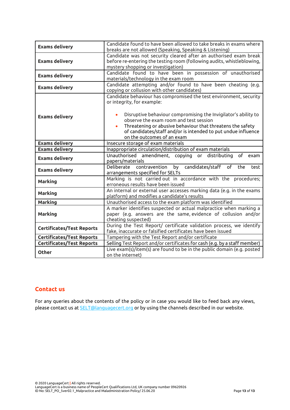| <b>Exams delivery</b>            | Candidate found to have been allowed to take breaks in exams where<br>breaks are not allowed (Speaking, Speaking & Listening)                                                                                                                                                                                                                                             |
|----------------------------------|---------------------------------------------------------------------------------------------------------------------------------------------------------------------------------------------------------------------------------------------------------------------------------------------------------------------------------------------------------------------------|
| <b>Exams delivery</b>            | Candidate was not security cleared after an authorised exam break<br>before re-entering the testing room (following audits, whistleblowing,<br>mystery shopping or investigation)                                                                                                                                                                                         |
| <b>Exams delivery</b>            | Candidate found to have been in possession of unauthorised<br>materials/technology in the exam room                                                                                                                                                                                                                                                                       |
| <b>Exams delivery</b>            | Candidate attempting and/or found to have been cheating (e.g.<br>copying or collusion with other candidates)                                                                                                                                                                                                                                                              |
| <b>Exams delivery</b>            | Candidate behaviour has compromised the test environment, security<br>or integrity, for example:<br>Disruptive behaviour compromising the Invigilator's ability to<br>observe the exam room and test session<br>Threatening or abusive behaviour that threatens the safety<br>of candidates/staff and/or is intended to put undue influence<br>on the outcomes of an exam |
| <b>Exams delivery</b>            | Insecure storage of exam materials                                                                                                                                                                                                                                                                                                                                        |
| <b>Exams delivery</b>            | Inappropriate circulation/distribution of exam materials                                                                                                                                                                                                                                                                                                                  |
| <b>Exams delivery</b>            | Unauthorised amendment, copying or distributing<br>of<br>exam<br>papers/materials                                                                                                                                                                                                                                                                                         |
| <b>Exams delivery</b>            | candidates/staff of<br>Deliberate contravention by<br>the<br>test<br>arrangements specified for SELTs                                                                                                                                                                                                                                                                     |
| <b>Marking</b>                   | Marking is not carried out in accordance with the procedures;<br>erroneous results have been issued                                                                                                                                                                                                                                                                       |
| <b>Marking</b>                   | An internal or external user accesses marking data (e.g. in the exams<br>platform) and modifies a candidate's results                                                                                                                                                                                                                                                     |
| <b>Marking</b>                   | Unauthorised access to the exam platform was identified                                                                                                                                                                                                                                                                                                                   |
| <b>Marking</b>                   | A marker identifies suspected or actual malpractice when marking a<br>paper (e.g. answers are the same, evidence of collusion and/or<br>cheating suspected)                                                                                                                                                                                                               |
| <b>Certificates/Test Reports</b> | During the Test Report/ certificate validation process, we identify<br>fake, inaccurate or falsified certificates have been issued                                                                                                                                                                                                                                        |
| Certificates/Test Reports        | Tampering with the Test Report and/or certificate                                                                                                                                                                                                                                                                                                                         |
| <b>Certificates/Test Reports</b> | Selling Test Report and/or certificates for cash (e.g. by a staff member)                                                                                                                                                                                                                                                                                                 |
| <b>Other</b>                     | Live exam(s)/item(s) are found to be in the public domain (e.g. posted<br>on the internet)                                                                                                                                                                                                                                                                                |

## **Contact us**

For any queries about the contents of the policy or in case you would like to feed back any views, please contact us at **SELT@languagecert.org** or by using the channels described in our website.